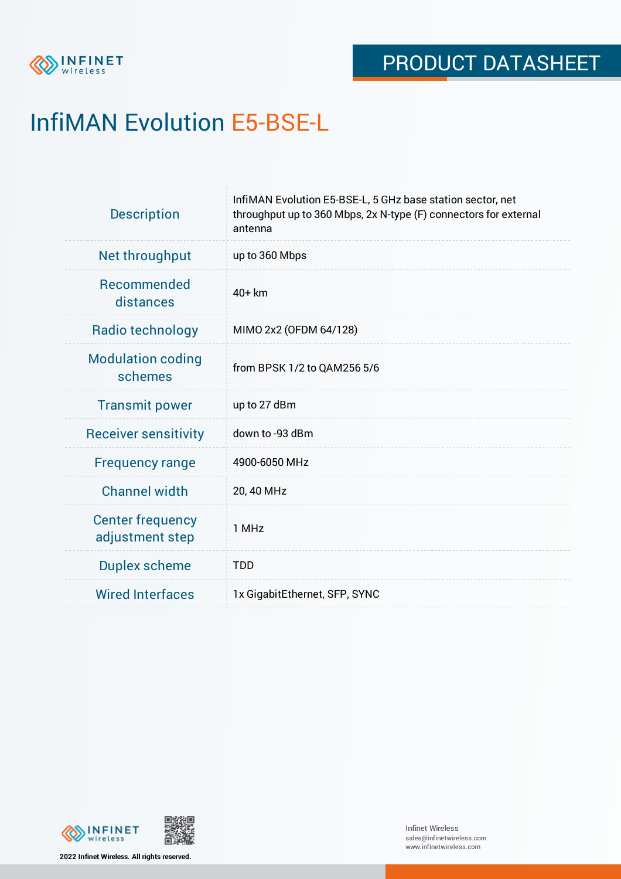

# InfiMAN Evolution E5-BSE-L

| <b>Description</b>                         | InfiMAN Evolution E5-BSE-L, 5 GHz base station sector, net<br>throughput up to 360 Mbps, 2x N-type (F) connectors for external<br>antenna |
|--------------------------------------------|-------------------------------------------------------------------------------------------------------------------------------------------|
| Net throughput                             | up to 360 Mbps                                                                                                                            |
| Recommended<br>distances                   | 40+ km                                                                                                                                    |
| Radio technology                           | MIMO 2x2 (OFDM 64/128)                                                                                                                    |
| <b>Modulation coding</b><br>schemes        | from BPSK 1/2 to QAM256 5/6                                                                                                               |
| <b>Transmit power</b>                      | up to 27 dBm                                                                                                                              |
| <b>Receiver sensitivity</b>                | down to -93 dBm                                                                                                                           |
| <b>Frequency range</b>                     | 4900-6050 MHz                                                                                                                             |
| <b>Channel width</b>                       | 20, 40 MHz                                                                                                                                |
| <b>Center frequency</b><br>adjustment step | 1 MHz                                                                                                                                     |
| <b>Duplex scheme</b>                       | <b>TDD</b>                                                                                                                                |
| <b>Wired Interfaces</b>                    | 1x GigabitEthernet, SFP, SYNC                                                                                                             |



**2022 Infinet Wireless. All rights reserved.**

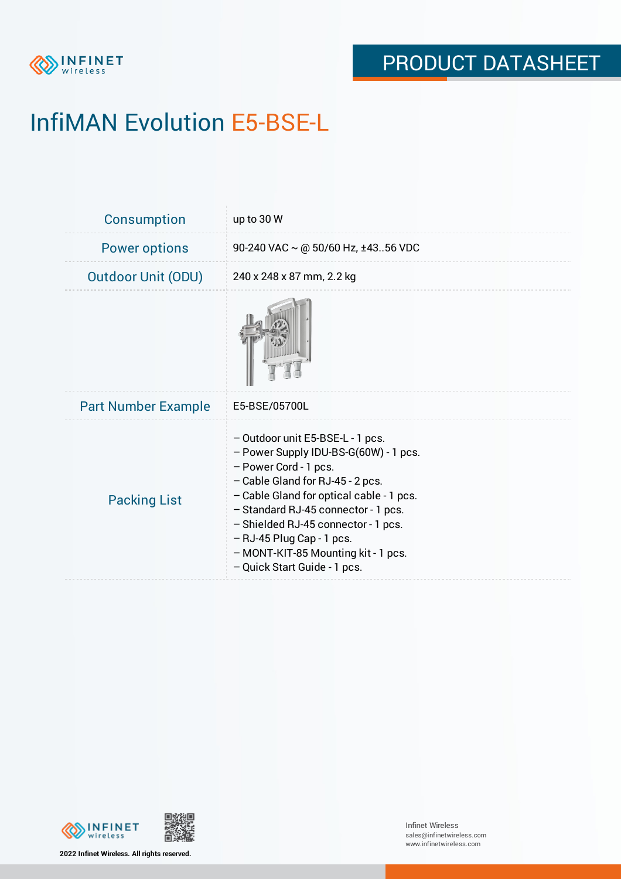

# InfiMAN Evolution E5-BSE-L

| <b>Consumption</b>         | up to 30 W                                                                                                                                                                                                                                                                                                                                                             |
|----------------------------|------------------------------------------------------------------------------------------------------------------------------------------------------------------------------------------------------------------------------------------------------------------------------------------------------------------------------------------------------------------------|
| <b>Power options</b>       | 90-240 VAC $\sim$ @ 50/60 Hz, ±4356 VDC                                                                                                                                                                                                                                                                                                                                |
| <b>Outdoor Unit (ODU)</b>  | 240 x 248 x 87 mm, 2.2 kg                                                                                                                                                                                                                                                                                                                                              |
|                            |                                                                                                                                                                                                                                                                                                                                                                        |
| <b>Part Number Example</b> | E5-BSE/05700L                                                                                                                                                                                                                                                                                                                                                          |
| <b>Packing List</b>        | - Outdoor unit E5-BSE-L - 1 pcs.<br>- Power Supply IDU-BS-G(60W) - 1 pcs.<br>- Power Cord - 1 pcs.<br>- Cable Gland for RJ-45 - 2 pcs.<br>- Cable Gland for optical cable - 1 pcs.<br>- Standard RJ-45 connector - 1 pcs.<br>- Shielded RJ-45 connector - 1 pcs.<br>$-$ RJ-45 Plug Cap - 1 pcs.<br>- MONT-KIT-85 Mounting kit - 1 pcs.<br>- Quick Start Guide - 1 pcs. |



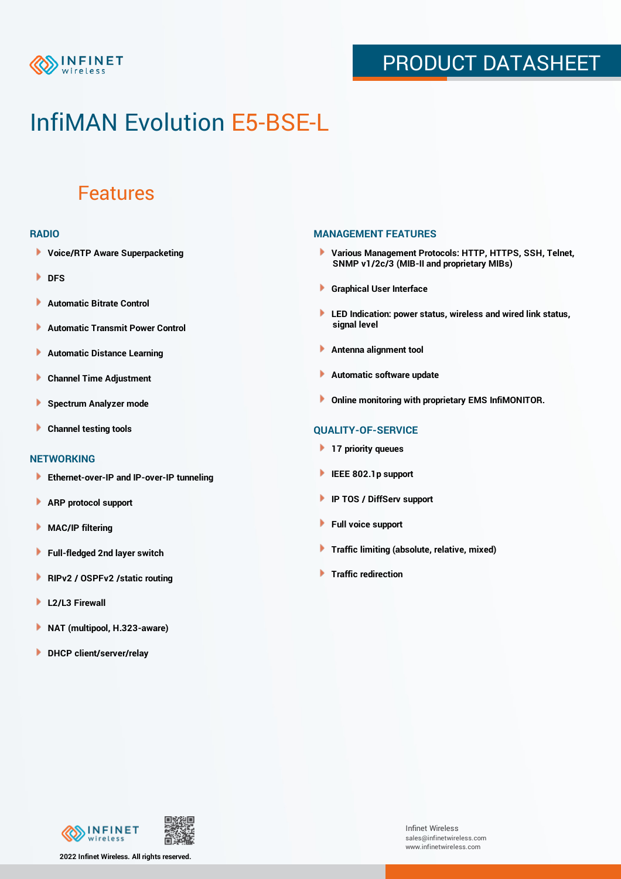

## PRODUCT DATASHEET

## InfiMAN Evolution E5-BSE-L

### Features

#### **RADIO**

- **Voice/RTP Aware Superpacketing**
- **DFS**
- **Automatic Bitrate Control** Þ
- Þ **Automatic Transmit Power Control**
- Þ **Automatic Distance Learning**
- Þ **Channel Time Adjustment**
- Þ **Spectrum Analyzer mode**
- Þ **Channel testing tools**

### **NETWORKING**

- **Ethernet-over-IP and IP-over-IP tunneling**
- Þ **ARP protocol support**
- **MAC/IP filtering** Þ
- **Full-fledged 2nd layer switch**
- Þ **RIPv2 / OSPFv2 /static routing**
- ٠ **L2/L3 Firewall**
- × **NAT (multipool, H.323-aware)**
- **DHCP client/server/relay**

### **MANAGEMENT FEATURES**

- **Various Management Protocols: HTTP, HTTPS, SSH, Telnet, SNMP v1/2c/3 (MIB-II and proprietary MIBs)**
- **Graphical User Interface**
- **LED Indication: power status, wireless and wired link status, signal level**
- **Antenna alignment tool**
- ٠ **Automatic software update**
- **Online monitoring with proprietary EMS InfiMONITOR.**

### **QUALITY-OF-SERVICE**

- **17 priority queues**
- **IEEE 802.1p support**
- **IP TOS / DiffServ support**
- ٠ **Full voice support**
- **Traffic limiting (absolute, relative, mixed)** ٠
- **Traffic redirection**